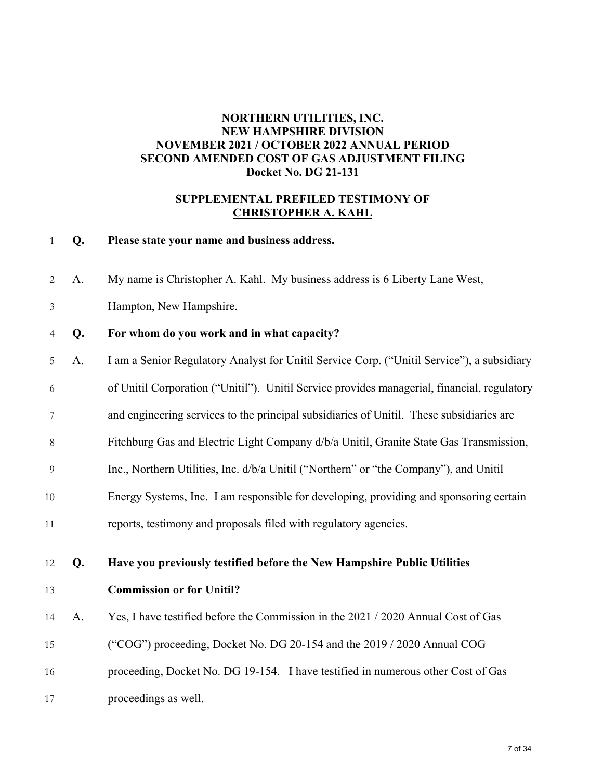### **NORTHERN UTILITIES, INC. NEW HAMPSHIRE DIVISION NOVEMBER 2021 / OCTOBER 2022 ANNUAL PERIOD SECOND AMENDED COST OF GAS ADJUSTMENT FILING Docket No. DG 21-131**

#### **SUPPLEMENTAL PREFILED TESTIMONY OF CHRISTOPHER A. KAHL**

#### **Q. Please state your name and business address.**

A. My name is Christopher A. Kahl. My business address is 6 Liberty Lane West,

Hampton, New Hampshire.

#### **Q. For whom do you work and in what capacity?**

- A. I am a Senior Regulatory Analyst for Unitil Service Corp. ("Unitil Service"), a subsidiary
- of Unitil Corporation ("Unitil"). Unitil Service provides managerial, financial, regulatory
- and engineering services to the principal subsidiaries of Unitil. These subsidiaries are
- Fitchburg Gas and Electric Light Company d/b/a Unitil, Granite State Gas Transmission,
- Inc., Northern Utilities, Inc. d/b/a Unitil ("Northern" or "the Company"), and Unitil
- Energy Systems, Inc. I am responsible for developing, providing and sponsoring certain
- reports, testimony and proposals filed with regulatory agencies.
- **Q. Have you previously testified before the New Hampshire Public Utilities**
- 

#### **Commission or for Unitil?**

- A. Yes, I have testified before the Commission in the 2021 / 2020 Annual Cost of Gas
- ("COG") proceeding, Docket No. DG 20-154 and the 2019 / 2020 Annual COG
- proceeding, Docket No. DG 19-154. I have testified in numerous other Cost of Gas
- proceedings as well.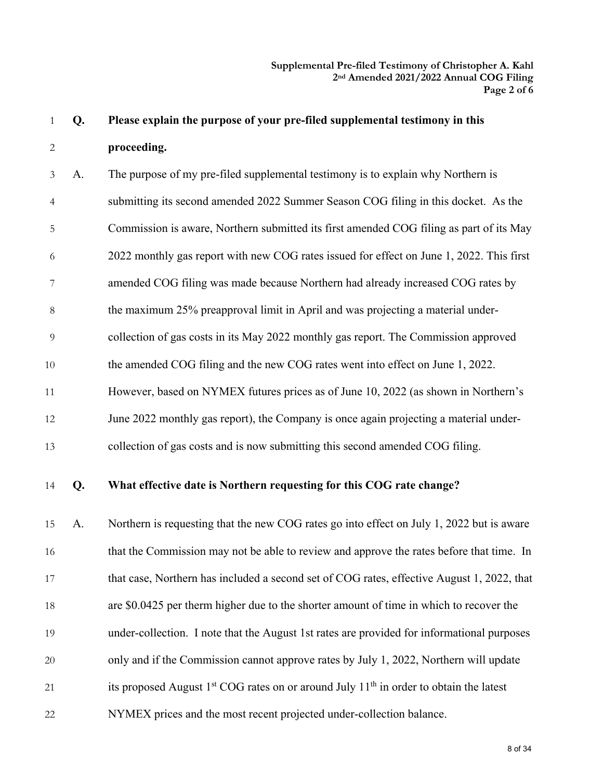**Q. Please explain the purpose of your pre-filed supplemental testimony in this proceeding.** 

A. The purpose of my pre-filed supplemental testimony is to explain why Northern is submitting its second amended 2022 Summer Season COG filing in this docket. As the Commission is aware, Northern submitted its first amended COG filing as part of its May 2022 monthly gas report with new COG rates issued for effect on June 1, 2022. This first amended COG filing was made because Northern had already increased COG rates by the maximum 25% preapproval limit in April and was projecting a material under-collection of gas costs in its May 2022 monthly gas report. The Commission approved 10 the amended COG filing and the new COG rates went into effect on June 1, 2022. However, based on NYMEX futures prices as of June 10, 2022 (as shown in Northern's June 2022 monthly gas report), the Company is once again projecting a material under-collection of gas costs and is now submitting this second amended COG filing.

**Q. What effective date is Northern requesting for this COG rate change?** 

A. Northern is requesting that the new COG rates go into effect on July 1, 2022 but is aware 16 that the Commission may not be able to review and approve the rates before that time. In 17 that case, Northern has included a second set of COG rates, effective August 1, 2022, that are \$0.0425 per therm higher due to the shorter amount of time in which to recover the under-collection. I note that the August 1st rates are provided for informational purposes only and if the Commission cannot approve rates by July 1, 2022, Northern will update 21 its proposed August  $1<sup>st</sup>$  COG rates on or around July  $11<sup>th</sup>$  in order to obtain the latest NYMEX prices and the most recent projected under-collection balance.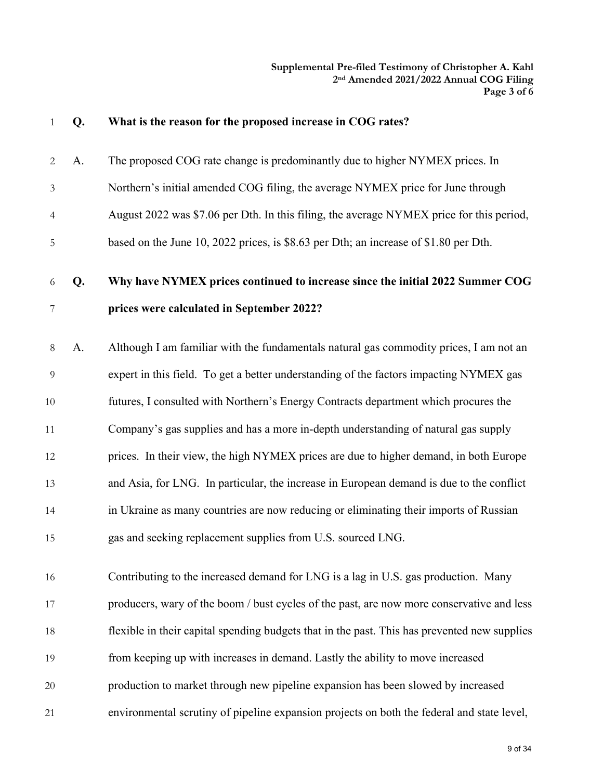| $\mathbf{1}$   | Q. | What is the reason for the proposed increase in COG rates?                                   |
|----------------|----|----------------------------------------------------------------------------------------------|
| 2              | A. | The proposed COG rate change is predominantly due to higher NYMEX prices. In                 |
| $\mathfrak{Z}$ |    | Northern's initial amended COG filing, the average NYMEX price for June through              |
| $\overline{4}$ |    | August 2022 was \$7.06 per Dth. In this filing, the average NYMEX price for this period,     |
| 5              |    | based on the June 10, 2022 prices, is \$8.63 per Dth; an increase of \$1.80 per Dth.         |
| 6              | Q. | Why have NYMEX prices continued to increase since the initial 2022 Summer COG                |
| 7              |    | prices were calculated in September 2022?                                                    |
| 8              | A. | Although I am familiar with the fundamentals natural gas commodity prices, I am not an       |
| 9              |    | expert in this field. To get a better understanding of the factors impacting NYMEX gas       |
| $10\,$         |    | futures, I consulted with Northern's Energy Contracts department which procures the          |
| 11             |    | Company's gas supplies and has a more in-depth understanding of natural gas supply           |
| 12             |    | prices. In their view, the high NYMEX prices are due to higher demand, in both Europe        |
| 13             |    | and Asia, for LNG. In particular, the increase in European demand is due to the conflict     |
| 14             |    | in Ukraine as many countries are now reducing or eliminating their imports of Russian        |
| 15             |    | gas and seeking replacement supplies from U.S. sourced LNG.                                  |
| 16             |    | Contributing to the increased demand for LNG is a lag in U.S. gas production. Many           |
| 17             |    | producers, wary of the boom / bust cycles of the past, are now more conservative and less    |
| 18             |    | flexible in their capital spending budgets that in the past. This has prevented new supplies |
| 19             |    | from keeping up with increases in demand. Lastly the ability to move increased               |
| 20             |    | production to market through new pipeline expansion has been slowed by increased             |
| 21             |    | environmental scrutiny of pipeline expansion projects on both the federal and state level,   |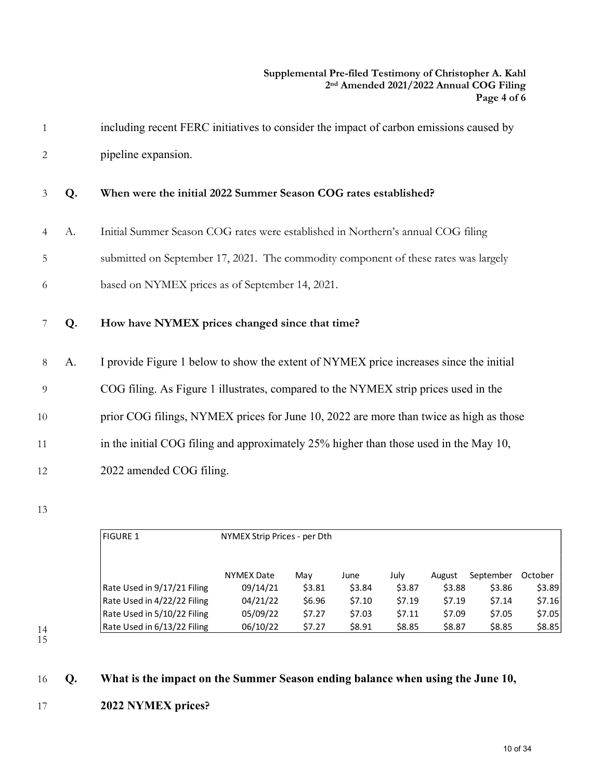|                |    | including recent FERC initiatives to consider the impact of carbon emissions caused by |
|----------------|----|----------------------------------------------------------------------------------------|
| 2              |    | pipeline expansion.                                                                    |
| $\mathcal{E}$  | Q. | When were the initial 2022 Summer Season COG rates established?                        |
| $\overline{4}$ | A. | Initial Summer Season COG rates were established in Northern's annual COG filing       |

- 5 submitted on September 17, 2021. The commodity component of these rates was largely
- 6 based on NYMEX prices as of September 14, 2021.
- 7 **Q. How have NYMEX prices changed since that time?**
- 8 A. I provide Figure 1 below to show the extent of NYMEX price increases since the initial
- 9 COG filing. As Figure 1 illustrates, compared to the NYMEX strip prices used in the
- 10 prior COG filings, NYMEX prices for June 10, 2022 are more than twice as high as those
- 11 in the initial COG filing and approximately 25% higher than those used in the May 10,
- 12 2022 amended COG filing.
- 13

|    | <b>FIGURE 1</b>             | NYMEX Strip Prices - per Dth |        |        |        |        |           |         |
|----|-----------------------------|------------------------------|--------|--------|--------|--------|-----------|---------|
|    |                             | <b>NYMEX Date</b>            | Mav    | June   | July   | August | September | October |
|    | Rate Used in 9/17/21 Filing | 09/14/21                     | \$3.81 | \$3.84 | \$3.87 | \$3.88 | \$3.86    | \$3.89  |
|    | Rate Used in 4/22/22 Filing | 04/21/22                     | \$6.96 | \$7.10 | 57.19  | \$7.19 | \$7.14    | \$7.16  |
|    | Rate Used in 5/10/22 Filing | 05/09/22                     | \$7.27 | \$7.03 | 57.11  | \$7.09 | \$7.05    | \$7.05  |
| 14 | Rate Used in 6/13/22 Filing | 06/10/22                     | \$7.27 | \$8.91 | \$8.85 | \$8.87 | \$8.85    | \$8.85  |

<sup>15</sup> 

## 16 **Q. What is the impact on the Summer Season ending balance when using the June 10,**

17 **2022 NYMEX prices?**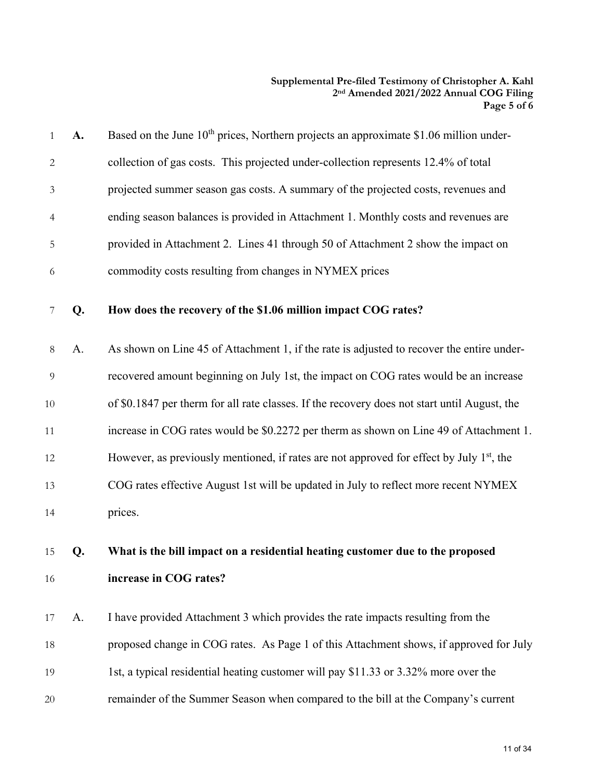| 1            | A. | Based on the June 10 <sup>th</sup> prices, Northern projects an approximate \$1.06 million under-    |
|--------------|----|------------------------------------------------------------------------------------------------------|
| $\mathbf{2}$ |    | collection of gas costs. This projected under-collection represents 12.4% of total                   |
| 3            |    | projected summer season gas costs. A summary of the projected costs, revenues and                    |
| 4            |    | ending season balances is provided in Attachment 1. Monthly costs and revenues are                   |
| 5            |    | provided in Attachment 2. Lines 41 through 50 of Attachment 2 show the impact on                     |
| 6            |    | commodity costs resulting from changes in NYMEX prices                                               |
| 7            | Q. | How does the recovery of the \$1.06 million impact COG rates?                                        |
| 8            | A. | As shown on Line 45 of Attachment 1, if the rate is adjusted to recover the entire under-            |
| 9            |    | recovered amount beginning on July 1st, the impact on COG rates would be an increase                 |
| $10\,$       |    | of \$0.1847 per therm for all rate classes. If the recovery does not start until August, the         |
| 11           |    | increase in COG rates would be \$0.2272 per therm as shown on Line 49 of Attachment 1.               |
| 12           |    | However, as previously mentioned, if rates are not approved for effect by July 1 <sup>st</sup> , the |
| 13           |    | COG rates effective August 1st will be updated in July to reflect more recent NYMEX                  |
| 14           |    | prices.                                                                                              |
| 15           | Q. | What is the bill impact on a residential heating customer due to the proposed                        |
| 16           |    | increase in COG rates?                                                                               |
| 17           | А. | I have provided Attachment 3 which provides the rate impacts resulting from the                      |
| 18           |    | proposed change in COG rates. As Page 1 of this Attachment shows, if approved for July               |
| 19           |    | 1st, a typical residential heating customer will pay \$11.33 or 3.32% more over the                  |
| 20           |    | remainder of the Summer Season when compared to the bill at the Company's current                    |